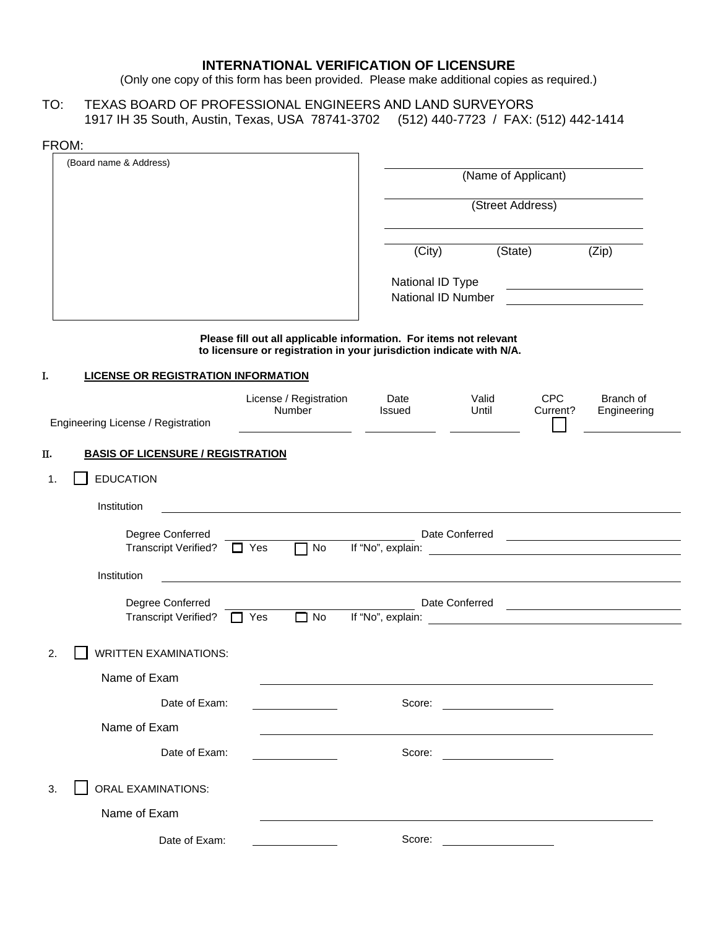## **INTERNATIONAL VERIFICATION OF LICENSURE**

(Only one copy of this form has been provided. Please make additional copies as required.)

TO: TEXAS BOARD OF PROFESSIONAL ENGINEERS AND LAND SURVEYORS 1917 IH 35 South, Austin, Texas, USA 78741-3702 (512) 440-7723 / FAX: (512) 442-1414

| FROM: |                                                 |                                                                                                                                            |                                        |                     |                                                    |                                                                                                                                                                                                                                      |  |
|-------|-------------------------------------------------|--------------------------------------------------------------------------------------------------------------------------------------------|----------------------------------------|---------------------|----------------------------------------------------|--------------------------------------------------------------------------------------------------------------------------------------------------------------------------------------------------------------------------------------|--|
|       | (Board name & Address)                          |                                                                                                                                            |                                        | (Name of Applicant) |                                                    |                                                                                                                                                                                                                                      |  |
|       |                                                 |                                                                                                                                            |                                        | (Street Address)    |                                                    |                                                                                                                                                                                                                                      |  |
|       |                                                 |                                                                                                                                            | (City)                                 |                     | (State)                                            | (Zip)                                                                                                                                                                                                                                |  |
|       |                                                 |                                                                                                                                            | National ID Type<br>National ID Number |                     |                                                    | <u> 1989 - Johann Barbara, martin a</u>                                                                                                                                                                                              |  |
|       |                                                 | Please fill out all applicable information. For items not relevant<br>to licensure or registration in your jurisdiction indicate with N/A. |                                        |                     |                                                    |                                                                                                                                                                                                                                      |  |
| I.    | <b>LICENSE OR REGISTRATION INFORMATION</b>      |                                                                                                                                            |                                        |                     |                                                    |                                                                                                                                                                                                                                      |  |
|       | Engineering License / Registration              | License / Registration<br>Number                                                                                                           | Date<br>Issued                         | Valid<br>Until      | <b>CPC</b><br>Current?                             | Branch of<br>Engineering                                                                                                                                                                                                             |  |
| Π.    | <b>BASIS OF LICENSURE / REGISTRATION</b>        |                                                                                                                                            |                                        |                     |                                                    |                                                                                                                                                                                                                                      |  |
| 1.    | <b>EDUCATION</b>                                |                                                                                                                                            |                                        |                     |                                                    |                                                                                                                                                                                                                                      |  |
|       | Institution                                     |                                                                                                                                            |                                        |                     |                                                    |                                                                                                                                                                                                                                      |  |
|       | Degree Conferred<br><b>Transcript Verified?</b> | $\Box$ Yes<br>No                                                                                                                           | If "No", explain:                      | Date Conferred      |                                                    | <u> 1989 - Jan Samuel Barbara, politik eta politik eta politik eta politik eta politik eta politik eta politik e</u>                                                                                                                 |  |
|       | Institution                                     |                                                                                                                                            |                                        |                     |                                                    |                                                                                                                                                                                                                                      |  |
|       | Degree Conferred<br><b>Transcript Verified?</b> | $\Box$ No<br>Yes                                                                                                                           | If "No", explain:                      | Date Conferred      | <u> 1989 - John Stein, Amerikaansk politiker (</u> | <u>and the contract of the contract of the contract of the contract of the contract of the contract of the contract of the contract of the contract of the contract of the contract of the contract of the contract of the contr</u> |  |
| 2.    | <b>WRITTEN EXAMINATIONS:</b>                    |                                                                                                                                            |                                        |                     |                                                    |                                                                                                                                                                                                                                      |  |
|       | Name of Exam                                    |                                                                                                                                            |                                        |                     |                                                    |                                                                                                                                                                                                                                      |  |
|       | Date of Exam:                                   |                                                                                                                                            | Score:                                 |                     |                                                    |                                                                                                                                                                                                                                      |  |
|       | Name of Exam                                    |                                                                                                                                            |                                        |                     |                                                    |                                                                                                                                                                                                                                      |  |
|       | Date of Exam:                                   |                                                                                                                                            | Score:                                 |                     |                                                    |                                                                                                                                                                                                                                      |  |
| 3.    | <b>ORAL EXAMINATIONS:</b>                       |                                                                                                                                            |                                        |                     |                                                    |                                                                                                                                                                                                                                      |  |
|       | Name of Exam                                    |                                                                                                                                            |                                        |                     |                                                    |                                                                                                                                                                                                                                      |  |
|       | Date of Exam:                                   |                                                                                                                                            | Score:                                 |                     |                                                    |                                                                                                                                                                                                                                      |  |